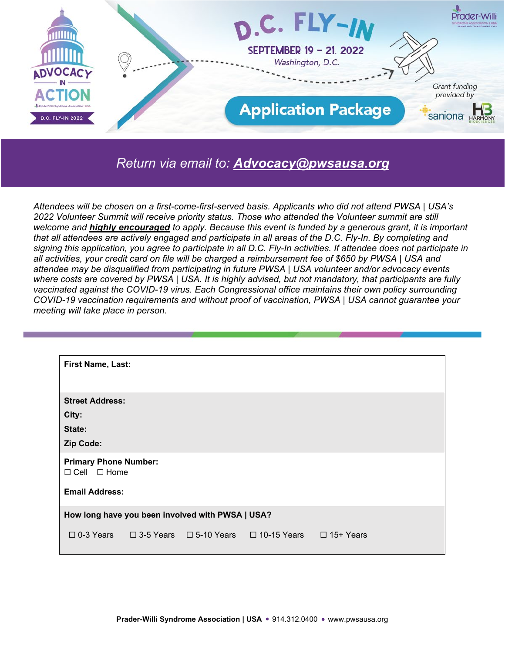

#### *Return via email to: [Advocacy@pwsausa.org](mailto:Advocacy@pwsausa.org)*

*Attendees will be chosen on a first-come-first-served basis. Applicants who did not attend PWSA | USA's 2022 Volunteer Summit will receive priority status. Those who attended the Volunteer summit are still welcome and highly encouraged to apply. Because this event is funded by a generous grant, it is important that all attendees are actively engaged and participate in all areas of the D.C. Fly-In. By completing and*  signing this application, you agree to participate in all D.C. Fly-In activities. If attendee does not participate in *all activities, your credit card on file will be charged a reimbursement fee of \$650 by PWSA | USA and attendee may be disqualified from participating in future PWSA | USA volunteer and/or advocacy events where costs are covered by PWSA | USA. It is highly advised, but not mandatory, that participants are fully vaccinated against the COVID-19 virus. Each Congressional office maintains their own policy surrounding COVID-19 vaccination requirements and without proof of vaccination, PWSA | USA cannot guarantee your meeting will take place in person.*

| <b>First Name, Last:</b>                                |  |  |                                                                                         |  |  |
|---------------------------------------------------------|--|--|-----------------------------------------------------------------------------------------|--|--|
|                                                         |  |  |                                                                                         |  |  |
| <b>Street Address:</b>                                  |  |  |                                                                                         |  |  |
| City:                                                   |  |  |                                                                                         |  |  |
| State:                                                  |  |  |                                                                                         |  |  |
| Zip Code:                                               |  |  |                                                                                         |  |  |
| <b>Primary Phone Number:</b><br>$\Box$ Cell $\Box$ Home |  |  |                                                                                         |  |  |
| <b>Email Address:</b>                                   |  |  |                                                                                         |  |  |
| How long have you been involved with PWSA   USA?        |  |  |                                                                                         |  |  |
|                                                         |  |  | $\Box$ 0-3 Years $\Box$ 3-5 Years $\Box$ 5-10 Years $\Box$ 10-15 Years $\Box$ 15+ Years |  |  |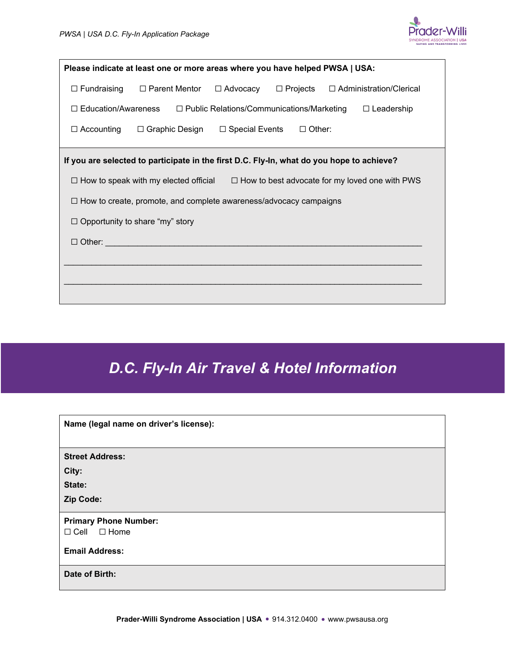

| Please indicate at least one or more areas where you have helped PWSA   USA:                                       |  |  |  |  |
|--------------------------------------------------------------------------------------------------------------------|--|--|--|--|
| $\Box$ Projects<br>$\Box$ Fundraising<br>$\Box$ Parent Mentor<br>$\Box$ Advocacy<br>$\Box$ Administration/Clerical |  |  |  |  |
| $\Box$ Education/Awareness<br>$\Box$ Public Relations/Communications/Marketing<br>$\Box$ Leadership                |  |  |  |  |
| $\Box$ Accounting<br>$\Box$ Graphic Design<br>□ Special Events<br>$\Box$ Other:                                    |  |  |  |  |
| If you are selected to participate in the first D.C. Fly-In, what do you hope to achieve?                          |  |  |  |  |
| $\Box$ How to speak with my elected official $\Box$ How to best advocate for my loved one with PWS                 |  |  |  |  |
| $\Box$ How to create, promote, and complete awareness/advocacy campaigns                                           |  |  |  |  |
| $\Box$ Opportunity to share "my" story                                                                             |  |  |  |  |
| $\Box$ Other:                                                                                                      |  |  |  |  |
|                                                                                                                    |  |  |  |  |
|                                                                                                                    |  |  |  |  |
|                                                                                                                    |  |  |  |  |

# *D.C. Fly-In Air Travel & Hotel Information*

| Name (legal name on driver's license): |
|----------------------------------------|
|                                        |
| <b>Street Address:</b>                 |
| City:                                  |
| State:                                 |
| Zip Code:                              |
| <b>Primary Phone Number:</b>           |
| $\Box$ Cell $\Box$ Home                |
| <b>Email Address:</b>                  |
| Date of Birth:                         |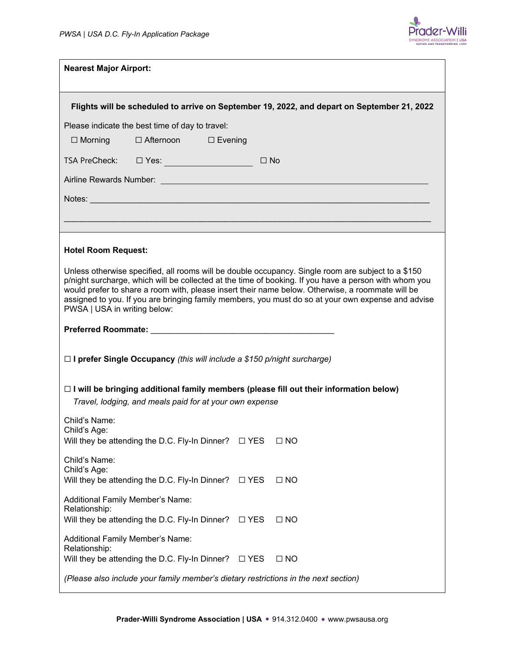

| <b>Nearest Major Airport:</b>                                                                                                                                                                                                                                                                                                                                                                                                                         |  |               |              |  |  |
|-------------------------------------------------------------------------------------------------------------------------------------------------------------------------------------------------------------------------------------------------------------------------------------------------------------------------------------------------------------------------------------------------------------------------------------------------------|--|---------------|--------------|--|--|
| Flights will be scheduled to arrive on September 19, 2022, and depart on September 21, 2022                                                                                                                                                                                                                                                                                                                                                           |  |               |              |  |  |
| Please indicate the best time of day to travel:                                                                                                                                                                                                                                                                                                                                                                                                       |  |               |              |  |  |
| □ Afternoon □ Evening<br>$\Box$ Morning                                                                                                                                                                                                                                                                                                                                                                                                               |  |               |              |  |  |
|                                                                                                                                                                                                                                                                                                                                                                                                                                                       |  | $\Box$ No     |              |  |  |
| Airline Rewards Number: <u>Dental Barner and Charles and Charles and Charles and Charles and Charles and Charles and Charles and Charles and Charles and Charles and Charles and Charles and Charles and Charles and Charles and</u>                                                                                                                                                                                                                  |  |               |              |  |  |
| Notes: Notes: Notes: Notes: Notes: Notes: Notes: Notes: Notes: Notes: Notes: Notes: Notes: Notes: No                                                                                                                                                                                                                                                                                                                                                  |  |               |              |  |  |
|                                                                                                                                                                                                                                                                                                                                                                                                                                                       |  |               |              |  |  |
| <b>Hotel Room Request:</b>                                                                                                                                                                                                                                                                                                                                                                                                                            |  |               |              |  |  |
| Unless otherwise specified, all rooms will be double occupancy. Single room are subject to a \$150<br>p/night surcharge, which will be collected at the time of booking. If you have a person with whom you<br>would prefer to share a room with, please insert their name below. Otherwise, a roommate will be<br>assigned to you. If you are bringing family members, you must do so at your own expense and advise<br>PWSA   USA in writing below: |  |               |              |  |  |
|                                                                                                                                                                                                                                                                                                                                                                                                                                                       |  |               |              |  |  |
| $\Box$ I prefer Single Occupancy (this will include a \$150 p/night surcharge)                                                                                                                                                                                                                                                                                                                                                                        |  |               |              |  |  |
| $\Box$ I will be bringing additional family members (please fill out their information below)<br>Travel, lodging, and meals paid for at your own expense                                                                                                                                                                                                                                                                                              |  |               |              |  |  |
| Child's Name:                                                                                                                                                                                                                                                                                                                                                                                                                                         |  |               |              |  |  |
| Child's Age:<br>Will they be attending the D.C. Fly-In Dinner?                                                                                                                                                                                                                                                                                                                                                                                        |  | $\square$ YES | $\square$ NO |  |  |
| Child's Name:<br>Child's Age:<br>Will they be attending the D.C. Fly-In Dinner?                                                                                                                                                                                                                                                                                                                                                                       |  | $\square$ YES | $\Box$ NO    |  |  |
| Additional Family Member's Name:<br>Relationship:                                                                                                                                                                                                                                                                                                                                                                                                     |  |               | $\Box$ NO    |  |  |
| Will they be attending the D.C. Fly-In Dinner?                                                                                                                                                                                                                                                                                                                                                                                                        |  | $\square$ YES |              |  |  |
| Additional Family Member's Name:<br>Relationship:<br>Will they be attending the D.C. Fly-In Dinner?                                                                                                                                                                                                                                                                                                                                                   |  | $\square$ YES | $\Box$ NO    |  |  |
| (Please also include your family member's dietary restrictions in the next section)                                                                                                                                                                                                                                                                                                                                                                   |  |               |              |  |  |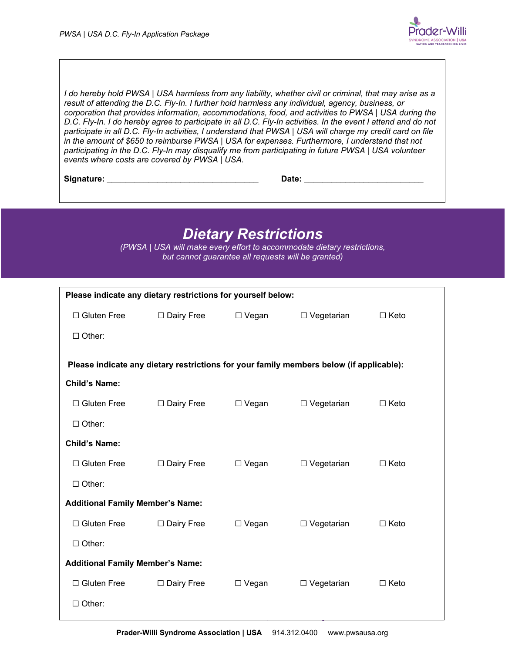

*I do hereby hold PWSA | USA harmless from any liability, whether civil or criminal, that may arise as a result of attending the D.C. Fly-In. I further hold harmless any individual, agency, business, or corporation that provides information, accommodations, food, and activities to PWSA | USA during the D.C. Fly-In. I do hereby agree to participate in all D.C. Fly-In activities. In the event I attend and do not participate in all D.C. Fly-In activities, I understand that PWSA | USA will charge my credit card on file in the amount of \$650 to reimburse PWSA | USA for expenses. Furthermore, I understand that not participating in the D.C. Fly-In may disqualify me from participating in future PWSA | USA volunteer events where costs are covered by PWSA | USA.*

**Signature:** \_\_\_\_\_\_\_\_\_\_\_\_\_\_\_\_\_\_\_\_\_\_\_\_\_\_\_\_\_\_\_\_\_ **Date:** \_\_\_\_\_\_\_\_\_\_\_\_\_\_\_\_\_\_\_\_\_\_\_\_\_\_

### *Dietary Restrictions*

*(PWSA | USA will make every effort to accommodate dietary restrictions, but cannot guarantee all requests will be granted)* 

| Please indicate any dietary restrictions for yourself below: |                                                                                         |              |                   |             |  |  |  |
|--------------------------------------------------------------|-----------------------------------------------------------------------------------------|--------------|-------------------|-------------|--|--|--|
| $\Box$ Gluten Free                                           | □ Dairy Free                                                                            | $\Box$ Vegan | $\Box$ Vegetarian | $\Box$ Keto |  |  |  |
| $\Box$ Other:                                                |                                                                                         |              |                   |             |  |  |  |
|                                                              |                                                                                         |              |                   |             |  |  |  |
|                                                              | Please indicate any dietary restrictions for your family members below (if applicable): |              |                   |             |  |  |  |
| <b>Child's Name:</b>                                         |                                                                                         |              |                   |             |  |  |  |
| $\Box$ Gluten Free                                           | □ Dairy Free                                                                            | $\Box$ Vegan | □ Vegetarian      | $\Box$ Keto |  |  |  |
| $\Box$ Other:                                                |                                                                                         |              |                   |             |  |  |  |
| <b>Child's Name:</b>                                         |                                                                                         |              |                   |             |  |  |  |
| $\Box$ Gluten Free                                           | □ Dairy Free                                                                            | $\Box$ Vegan | $\Box$ Vegetarian | $\Box$ Keto |  |  |  |
| $\Box$ Other:                                                |                                                                                         |              |                   |             |  |  |  |
| <b>Additional Family Member's Name:</b>                      |                                                                                         |              |                   |             |  |  |  |
| $\Box$ Gluten Free                                           | □ Dairy Free                                                                            | $\Box$ Vegan | □ Vegetarian      | $\Box$ Keto |  |  |  |
| $\Box$ Other:                                                |                                                                                         |              |                   |             |  |  |  |
| <b>Additional Family Member's Name:</b>                      |                                                                                         |              |                   |             |  |  |  |
| $\Box$ Gluten Free                                           | $\Box$ Dairy Free                                                                       | $\Box$ Vegan | $\Box$ Vegetarian | $\Box$ Keto |  |  |  |
| $\Box$ Other:                                                |                                                                                         |              |                   |             |  |  |  |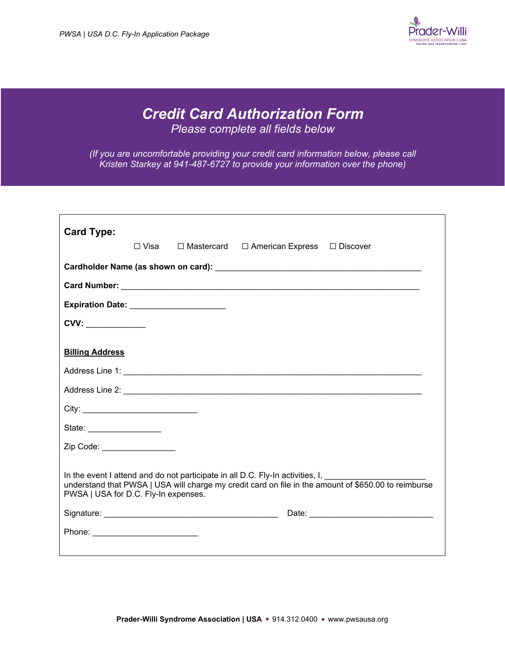

## *Credit Card Authorization Form*

*Please complete all fields below*

*(If you are uncomfortable providing your credit card information below, please call Kristen Starkey at 941-487-6727 to provide your information over the phone)*

| <b>Card Type:</b>                        | ⊟ Visa | $\Box$ Mastercard $\Box$ American Express $\Box$ Discover                             |                                                                                                                |
|------------------------------------------|--------|---------------------------------------------------------------------------------------|----------------------------------------------------------------------------------------------------------------|
|                                          |        |                                                                                       |                                                                                                                |
|                                          |        |                                                                                       |                                                                                                                |
| Expiration Date: _______________________ |        |                                                                                       |                                                                                                                |
| CVV:                                     |        |                                                                                       |                                                                                                                |
|                                          |        |                                                                                       |                                                                                                                |
| <b>Billing Address</b>                   |        |                                                                                       |                                                                                                                |
|                                          |        |                                                                                       |                                                                                                                |
|                                          |        |                                                                                       |                                                                                                                |
|                                          |        |                                                                                       |                                                                                                                |
| State: ____________________              |        |                                                                                       |                                                                                                                |
| Zip Code: __________________             |        |                                                                                       |                                                                                                                |
|                                          |        |                                                                                       |                                                                                                                |
| PWSA   USA for D.C. Fly-In expenses.     |        | In the event I attend and do not participate in all D.C. Fly-In activities, I, ______ | understand that PWSA   USA will charge my credit card on file in the amount of \$650.00 to reimburse           |
|                                          |        |                                                                                       | Date: Note: Note: Note: Note: Note: Note: Note: Note: Note: Note: Note: Note: Note: Note: Note: Note: Note: No |
|                                          |        |                                                                                       |                                                                                                                |
|                                          |        |                                                                                       |                                                                                                                |
|                                          |        |                                                                                       |                                                                                                                |